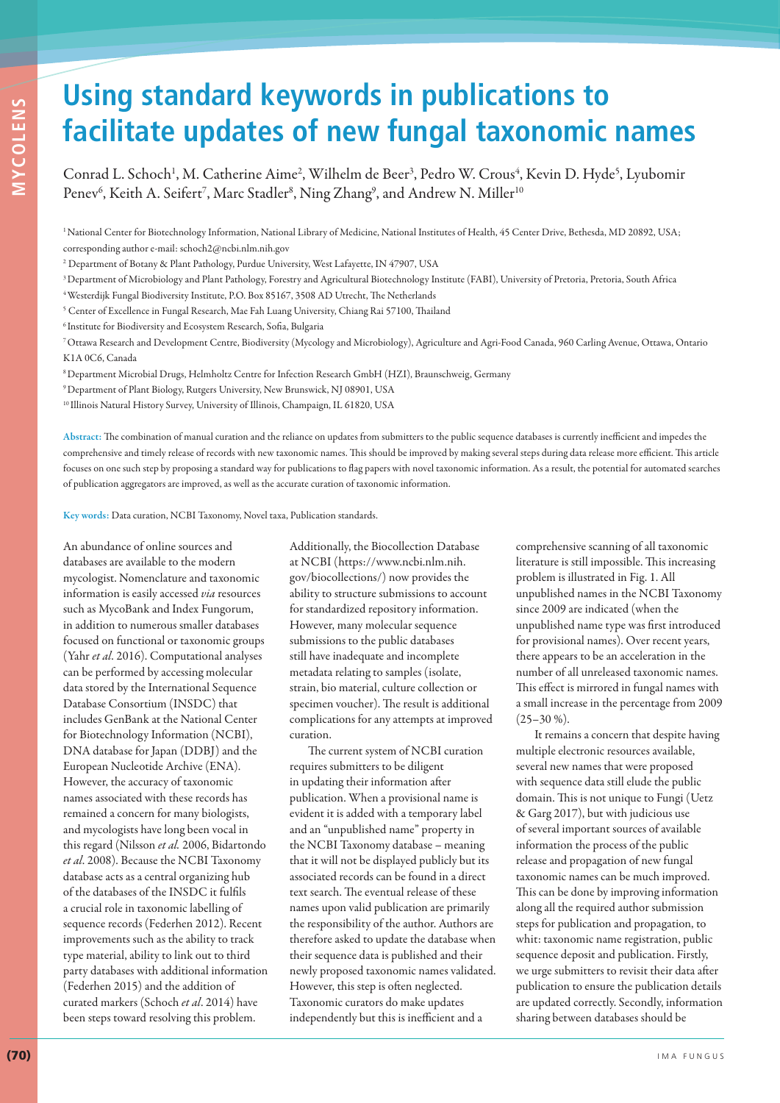## **Using standard keywords in publications to facilitate updates of new fungal taxonomic names**

Conrad L. Schoch<sup>1</sup>, M. Catherine Aime<sup>2</sup>, Wilhelm de Beer<sup>3</sup>, Pedro W. Crous<sup>4</sup>, Kevin D. Hyde<sup>5</sup>, Lyubomir Penev<sup>6</sup>, Keith A. Seifert<sup>7</sup>, Marc Stadler<sup>8</sup>, Ning Zhang<sup>9</sup>, and Andrew N. Miller<sup>10</sup>

<sup>1</sup> National Center for Biotechnology Information, National Library of Medicine, National Institutes of Health, 45 Center Drive, Bethesda, MD 20892, USA; corresponding author e-mail: schoch2@ncbi.nlm.nih.gov

3 Department of Microbiology and Plant Pathology, Forestry and Agricultural Biotechnology Institute (FABI), University of Pretoria, Pretoria, South Africa

<sup>4</sup> Westerdijk Fungal Biodiversity Institute, P.O. Box 85167, 3508 AD Utrecht, The Netherlands

5 Center of Excellence in Fungal Research, Mae Fah Luang University, Chiang Rai 57100, Thailand

6 Institute for Biodiversity and Ecosystem Research, Sofia, Bulgaria

7 Ottawa Research and Development Centre, Biodiversity (Mycology and Microbiology), Agriculture and Agri-Food Canada, 960 Carling Avenue, Ottawa, Ontario K1A 0C6, Canada

8 Department Microbial Drugs, Helmholtz Centre for Infection Research GmbH (HZI), Braunschweig, Germany

9 Department of Plant Biology, Rutgers University, New Brunswick, NJ 08901, USA

<sup>10</sup> Illinois Natural History Survey, University of Illinois, Champaign, IL 61820, USA

Abstract: The combination of manual curation and the reliance on updates from submitters to the public sequence databases is currently inefficient and impedes the comprehensive and timely release of records with new taxonomic names. This should be improved by making several steps during data release more efficient. This article focuses on one such step by proposing a standard way for publications to flag papers with novel taxonomic information. As a result, the potential for automated searches of publication aggregators are improved, as well as the accurate curation of taxonomic information.

Key words: Data curation, NCBI Taxonomy, Novel taxa, Publication standards.

An abundance of online sources and databases are available to the modern mycologist. Nomenclature and taxonomic information is easily accessed *via* resources such as MycoBank and Index Fungorum, in addition to numerous smaller databases focused on functional or taxonomic groups (Yahr *et al*. 2016). Computational analyses can be performed by accessing molecular data stored by the International Sequence Database Consortium (INSDC) that includes GenBank at the National Center for Biotechnology Information (NCBI), DNA database for Japan (DDBJ) and the European Nucleotide Archive (ENA). However, the accuracy of taxonomic names associated with these records has remained a concern for many biologists, and mycologists have long been vocal in this regard (Nilsson *et al.* 2006, Bidartondo *et al*. 2008). Because the NCBI Taxonomy database acts as a central organizing hub of the databases of the INSDC it fulfils a crucial role in taxonomic labelling of sequence records (Federhen 2012). Recent improvements such as the ability to track type material, ability to link out to third party databases with additional information (Federhen 2015) and the addition of curated markers (Schoch *et al*. 2014) have been steps toward resolving this problem.

Additionally, the Biocollection Database at NCBI (https://www.ncbi.nlm.nih. gov/biocollections/) now provides the ability to structure submissions to account for standardized repository information. However, many molecular sequence submissions to the public databases still have inadequate and incomplete metadata relating to samples (isolate, strain, bio material, culture collection or specimen voucher). The result is additional complications for any attempts at improved curation.

The current system of NCBI curation requires submitters to be diligent in updating their information after publication. When a provisional name is evident it is added with a temporary label and an "unpublished name" property in the NCBI Taxonomy database – meaning that it will not be displayed publicly but its associated records can be found in a direct text search. The eventual release of these names upon valid publication are primarily the responsibility of the author. Authors are therefore asked to update the database when their sequence data is published and their newly proposed taxonomic names validated. However, this step is often neglected. Taxonomic curators do make updates independently but this is inefficient and a

comprehensive scanning of all taxonomic literature is still impossible. This increasing problem is illustrated in Fig. 1. All unpublished names in the NCBI Taxonomy since 2009 are indicated (when the unpublished name type was first introduced for provisional names). Over recent years, there appears to be an acceleration in the number of all unreleased taxonomic names. This effect is mirrored in fungal names with a small increase in the percentage from 2009  $(25-30\%)$ .

It remains a concern that despite having multiple electronic resources available, several new names that were proposed with sequence data still elude the public domain. This is not unique to Fungi (Uetz & Garg 2017), but with judicious use of several important sources of available information the process of the public release and propagation of new fungal taxonomic names can be much improved. This can be done by improving information along all the required author submission steps for publication and propagation, to whit: taxonomic name registration, public sequence deposit and publication. Firstly, we urge submitters to revisit their data after publication to ensure the publication details are updated correctly. Secondly, information sharing between databases should be

<sup>2</sup> Department of Botany & Plant Pathology, Purdue University, West Lafayette, IN 47907, USA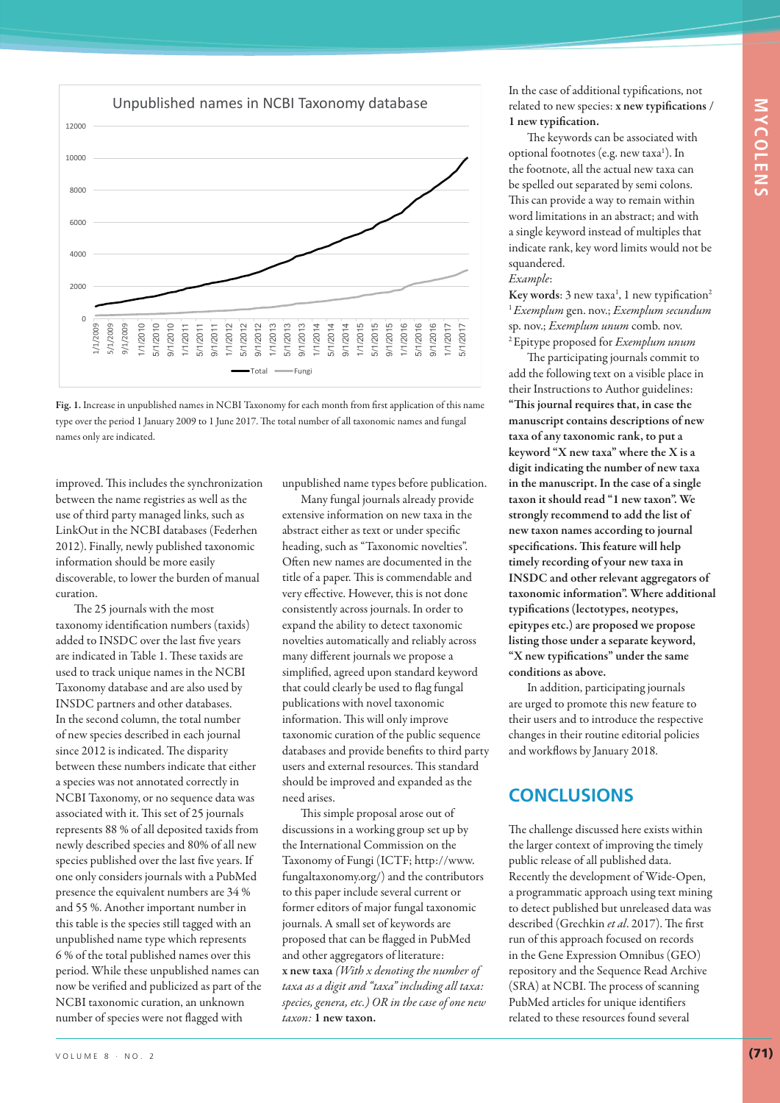

Fig. 1. Increase in unpublished names in NCBI Taxonomy for each month from first application of this name type over the period 1 January 2009 to 1 June 2017. The total number of all taxonomic names and fungal names only are indicated.

improved. This includes the synchronization between the name registries as well as the use of third party managed links, such as LinkOut in the NCBI databases (Federhen 2012). Finally, newly published taxonomic information should be more easily discoverable, to lower the burden of manual curation.

The 25 journals with the most taxonomy identification numbers (taxids) added to INSDC over the last five years are indicated in Table 1. These taxids are used to track unique names in the NCBI Taxonomy database and are also used by INSDC partners and other databases. In the second column, the total number of new species described in each journal since 2012 is indicated. The disparity between these numbers indicate that either a species was not annotated correctly in NCBI Taxonomy, or no sequence data was associated with it. This set of 25 journals represents 88 % of all deposited taxids from newly described species and 80% of all new species published over the last five years. If one only considers journals with a PubMed presence the equivalent numbers are 34 % and 55 %. Another important number in this table is the species still tagged with an unpublished name type which represents 6 % of the total published names over this period. While these unpublished names can now be verified and publicized as part of the NCBI taxonomic curation, an unknown number of species were not flagged with

unpublished name types before publication.

Many fungal journals already provide extensive information on new taxa in the abstract either as text or under specific heading, such as "Taxonomic novelties". Often new names are documented in the title of a paper. This is commendable and very effective. However, this is not done consistently across journals. In order to expand the ability to detect taxonomic novelties automatically and reliably across many different journals we propose a simplified, agreed upon standard keyword that could clearly be used to flag fungal publications with novel taxonomic information. This will only improve taxonomic curation of the public sequence databases and provide benefits to third party users and external resources. This standard should be improved and expanded as the need arises.

This simple proposal arose out of discussions in a working group set up by the International Commission on the Taxonomy of Fungi (ICTF; http://www. fungaltaxonomy.org/) and the contributors to this paper include several current or former editors of major fungal taxonomic journals. A small set of keywords are proposed that can be flagged in PubMed and other aggregators of literature: x new taxa *(With x denoting the number of taxa as a digit and "taxa" including all taxa: species, genera, etc.) OR in the case of one new taxon:* 1 new taxon.

In the case of additional typifications, not related to new species: x new typifications / 1 new typification.

The keywords can be associated with optional footnotes (e.g. new taxa<sup>1</sup>). In the footnote, all the actual new taxa can be spelled out separated by semi colons. This can provide a way to remain within word limitations in an abstract; and with a single keyword instead of multiples that indicate rank, key word limits would not be squandered. *Example*:

Key words: 3 new taxa<sup>1</sup>, 1 new typification<sup>2</sup> <sup>1</sup>*Exemplum* gen. nov.; *Exemplum secundum*  sp. nov.; *Exemplum unum* comb. nov. 2 Epitype proposed for *Exemplum unum*

The participating journals commit to add the following text on a visible place in their Instructions to Author guidelines: "This journal requires that, in case the manuscript contains descriptions of new taxa of any taxonomic rank, to put a keyword "X new taxa" where the X is a digit indicating the number of new taxa in the manuscript. In the case of a single taxon it should read "1 new taxon". We strongly recommend to add the list of new taxon names according to journal specifications. This feature will help timely recording of your new taxa in INSDC and other relevant aggregators of taxonomic information". Where additional typifications (lectotypes, neotypes, epitypes etc.) are proposed we propose listing those under a separate keyword, "X new typifications" under the same conditions as above.

In addition, participating journals are urged to promote this new feature to their users and to introduce the respective changes in their routine editorial policies and workflows by January 2018.

## **CONCLUSIONS**

The challenge discussed here exists within the larger context of improving the timely public release of all published data. Recently the development of Wide-Open, a programmatic approach using text mining to detect published but unreleased data was described (Grechkin *et al*. 2017). The first run of this approach focused on records in the Gene Expression Omnibus (GEO) repository and the Sequence Read Archive (SRA) at NCBI. The process of scanning PubMed articles for unique identifiers related to these resources found several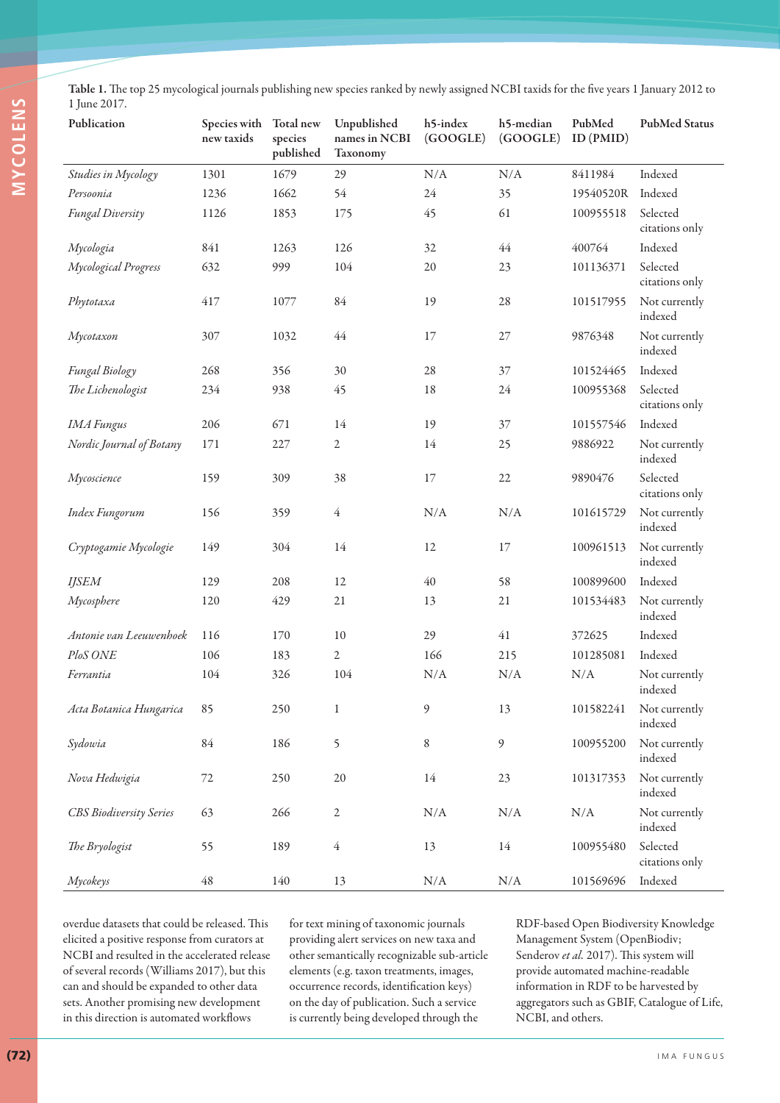| i                                                                                                                     |  |
|-----------------------------------------------------------------------------------------------------------------------|--|
| in the company of the company of the company of the company of the company of the company of the company of th        |  |
|                                                                                                                       |  |
| <b>Contract Contract Contract Contract Contract Contract Contract Contract Contract Contract Contract Contract Co</b> |  |
|                                                                                                                       |  |
|                                                                                                                       |  |
| <b>STATE OF STATE OF STATE OF STATE OF STATE OF STATE OF STATE OF STATE OF STATE OF STATE OF STATE OF STATE</b>       |  |
|                                                                                                                       |  |
|                                                                                                                       |  |
|                                                                                                                       |  |

| Table 1. The top 25 mycological journals publishing new species ranked by newly assigned NCBI taxids for the five years 1 January 2012 to |  |
|-------------------------------------------------------------------------------------------------------------------------------------------|--|
| 1 June 2017.                                                                                                                              |  |

| Publication                    | Species with<br>new taxids | Total new<br>species<br>published | Unpublished<br>names in NCBI<br><b>Taxonomy</b> | h5-index<br>(GOOGLE) | h5-median<br>(GOOGLE) | PubMed<br>ID (PMID) | <b>PubMed Status</b>       |
|--------------------------------|----------------------------|-----------------------------------|-------------------------------------------------|----------------------|-----------------------|---------------------|----------------------------|
| Studies in Mycology            | 1301                       | 1679                              | 29                                              | N/A                  | N/A                   | 8411984             | Indexed                    |
| Persoonia                      | 1236                       | 1662                              | 54                                              | 24                   | 35                    | 19540520R           | Indexed                    |
| <b>Fungal Diversity</b>        | 1126                       | 1853                              | 175                                             | 45                   | 61                    | 100955518           | Selected<br>citations only |
| Mycologia                      | 841                        | 1263                              | 126                                             | 32                   | 44                    | 400764              | Indexed                    |
| Mycological Progress           | 632                        | 999                               | 104                                             | 20                   | 23                    | 101136371           | Selected<br>citations only |
| Phytotaxa                      | 417                        | 1077                              | $84\,$                                          | 19                   | 28                    | 101517955           | Not currently<br>indexed   |
| Mycotaxon                      | 307                        | 1032                              | 44                                              | 17                   | 27                    | 9876348             | Not currently<br>indexed   |
| Fungal Biology                 | 268                        | 356                               | 30                                              | $28\,$               | 37                    | 101524465           | Indexed                    |
| The Lichenologist              | 234                        | 938                               | 45                                              | 18                   | 24                    | 100955368           | Selected<br>citations only |
| <b>IMA</b> Fungus              | 206                        | 671                               | 14                                              | 19                   | 37                    | 101557546           | Indexed                    |
| Nordic Journal of Botany       | 171                        | 227                               | $\overline{2}$                                  | 14                   | 25                    | 9886922             | Not currently<br>indexed   |
| Mycoscience                    | 159                        | 309                               | 38                                              | 17                   | $22\,$                | 9890476             | Selected<br>citations only |
| Index Fungorum                 | 156                        | 359                               | $\overline{4}$                                  | N/A                  | $\rm N/A$             | 101615729           | Not currently<br>indexed   |
| Cryptogamie Mycologie          | 149                        | 304                               | 14                                              | 12                   | 17                    | 100961513           | Not currently<br>indexed   |
| <b>IJSEM</b>                   | 129                        | 208                               | 12                                              | 40                   | 58                    | 100899600           | Indexed                    |
| Mycosphere                     | 120                        | 429                               | 21                                              | 13                   | 21                    | 101534483           | Not currently<br>indexed   |
| Antonie van Leeuwenhoek        | 116                        | 170                               | 10                                              | 29                   | 41                    | 372625              | Indexed                    |
| PloS ONE                       | 106                        | 183                               | 2                                               | 166                  | 215                   | 101285081           | Indexed                    |
| Ferrantia                      | 104                        | 326                               | 104                                             | N/A                  | N/A                   | N/A                 | Not currently<br>indexed   |
| Acta Botanica Hungarica        | 85                         | 250                               | 1                                               | 9                    | 13                    | 101582241           | Not currently<br>indexed   |
| Sydowia                        | $84\,$                     | 186                               | 5                                               | 8                    | 9                     | 100955200           | Not currently<br>indexed   |
| Nova Hedwigia                  | 72                         | 250                               | 20                                              | 14                   | 23                    | 101317353           | Not currently<br>indexed   |
| <b>CBS</b> Biodiversity Series | 63                         | 266                               | 2                                               | $\rm N/A$            | $\rm N/A$             | $\rm N/A$           | Not currently<br>indexed   |
| The Bryologist                 | 55                         | 189                               | $\overline{4}$                                  | 13                   | 14                    | 100955480           | Selected<br>citations only |
| Mycokeys                       | $\sqrt{48}$                | 140                               | 13                                              | $\rm N/A$            | $\rm N/A$             | 101569696           | Indexed                    |

overdue datasets that could be released. This elicited a positive response from curators at NCBI and resulted in the accelerated release of several records (Williams 2017), but this can and should be expanded to other data sets. Another promising new development in this direction is automated workflows

for text mining of taxonomic journals providing alert services on new taxa and other semantically recognizable sub-article elements (e.g. taxon treatments, images, occurrence records, identification keys) on the day of publication. Such a service is currently being developed through the

RDF-based Open Biodiversity Knowledge Management System (OpenBiodiv; Senderov *et al.* 2017). This system will provide automated machine-readable information in RDF to be harvested by aggregators such as GBIF, Catalogue of Life, NCBI, and others.